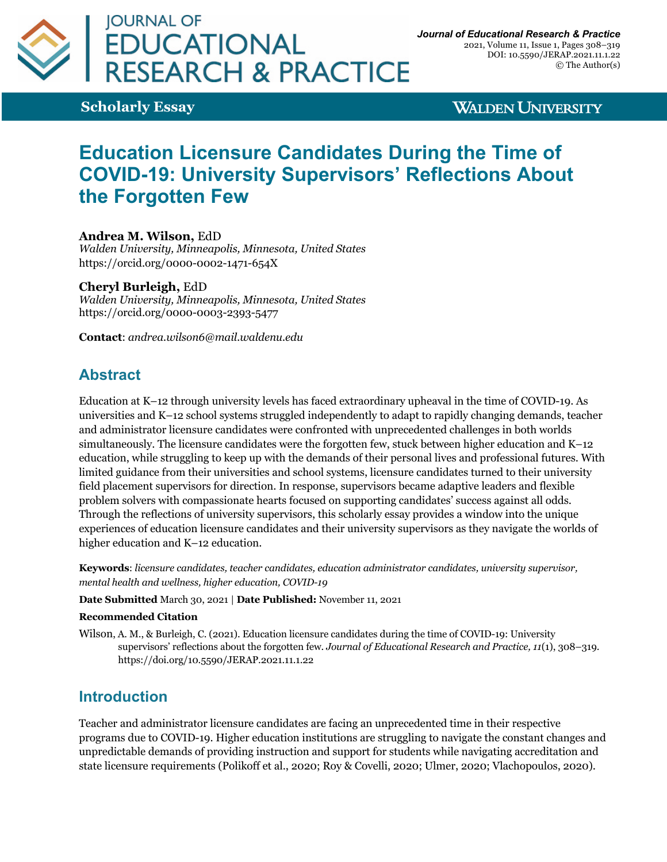

**Scholarly Essay**

**WALDEN UNIVERSITY** 

# **Education Licensure Candidates During the Time of COVID-19: University Supervisors' Reflections About the Forgotten Few**

**Andrea M. Wilson,** EdD

*Walden University, Minneapolis, Minnesota, United States* https://orcid.org/0000-0002-1471-654X

#### **Cheryl Burleigh,** EdD

*Walden University, Minneapolis, Minnesota, United States* https://orcid.org/0000-0003-2393-5477

**Contact**: *andrea.wilson6@mail.waldenu.edu*

# **Abstract**

Education at K–12 through university levels has faced extraordinary upheaval in the time of COVID-19. As universities and K–12 school systems struggled independently to adapt to rapidly changing demands, teacher and administrator licensure candidates were confronted with unprecedented challenges in both worlds simultaneously. The licensure candidates were the forgotten few, stuck between higher education and K–12 education, while struggling to keep up with the demands of their personal lives and professional futures. With limited guidance from their universities and school systems, licensure candidates turned to their university field placement supervisors for direction. In response, supervisors became adaptive leaders and flexible problem solvers with compassionate hearts focused on supporting candidates' success against all odds. Through the reflections of university supervisors, this scholarly essay provides a window into the unique experiences of education licensure candidates and their university supervisors as they navigate the worlds of higher education and K–12 education.

**Keywords**: *licensure candidates, teacher candidates, education administrator candidates, university supervisor, mental health and wellness, higher education, COVID-19*

#### **Date Submitted** March 30, 2021 | **Date Published:** November 11, 2021

#### **Recommended Citation**

Wilson, A. M., & Burleigh, C. (2021). Education licensure candidates during the time of COVID-19: University supervisors' reflections about the forgotten few. *Journal of Educational Research and Practice, 11*(1), 308–319. https://doi.org/10.5590/JERAP.2021.11.1.22

### **Introduction**

Teacher and administrator licensure candidates are facing an unprecedented time in their respective programs due to COVID-19. Higher education institutions are struggling to navigate the constant changes and unpredictable demands of providing instruction and support for students while navigating accreditation and state licensure requirements (Polikoff et al., 2020; Roy & Covelli, 2020; Ulmer, 2020; Vlachopoulos, 2020).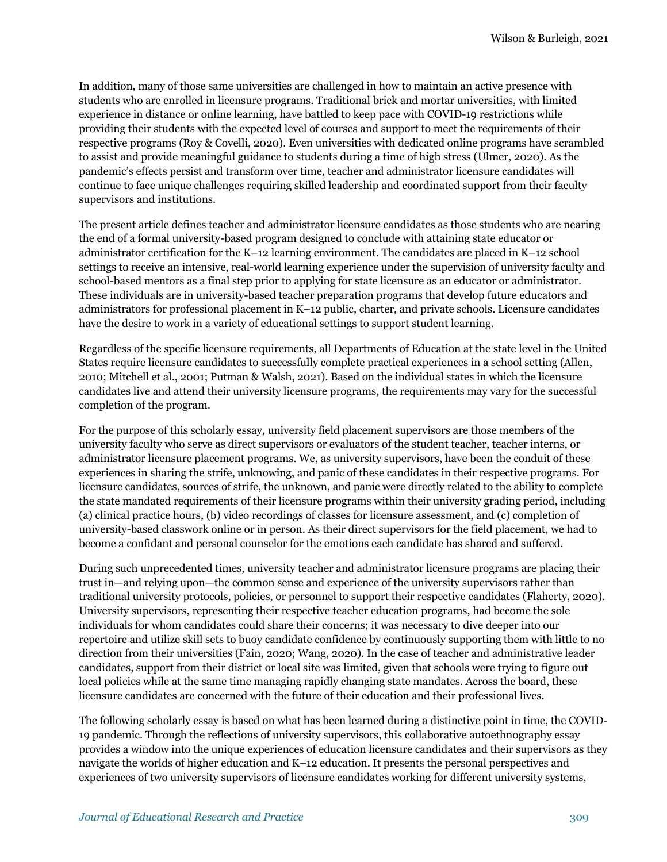In addition, many of those same universities are challenged in how to maintain an active presence with students who are enrolled in licensure programs. Traditional brick and mortar universities, with limited experience in distance or online learning, have battled to keep pace with COVID-19 restrictions while providing their students with the expected level of courses and support to meet the requirements of their respective programs (Roy & Covelli, 2020). Even universities with dedicated online programs have scrambled to assist and provide meaningful guidance to students during a time of high stress (Ulmer, 2020). As the pandemic's effects persist and transform over time, teacher and administrator licensure candidates will continue to face unique challenges requiring skilled leadership and coordinated support from their faculty supervisors and institutions.

The present article defines teacher and administrator licensure candidates as those students who are nearing the end of a formal university-based program designed to conclude with attaining state educator or administrator certification for the K–12 learning environment. The candidates are placed in K–12 school settings to receive an intensive, real-world learning experience under the supervision of university faculty and school-based mentors as a final step prior to applying for state licensure as an educator or administrator. These individuals are in university-based teacher preparation programs that develop future educators and administrators for professional placement in K–12 public, charter, and private schools. Licensure candidates have the desire to work in a variety of educational settings to support student learning.

Regardless of the specific licensure requirements, all Departments of Education at the state level in the United States require licensure candidates to successfully complete practical experiences in a school setting (Allen, 2010; Mitchell et al., 2001; Putman & Walsh, 2021). Based on the individual states in which the licensure candidates live and attend their university licensure programs, the requirements may vary for the successful completion of the program.

For the purpose of this scholarly essay, university field placement supervisors are those members of the university faculty who serve as direct supervisors or evaluators of the student teacher, teacher interns, or administrator licensure placement programs. We, as university supervisors, have been the conduit of these experiences in sharing the strife, unknowing, and panic of these candidates in their respective programs. For licensure candidates, sources of strife, the unknown, and panic were directly related to the ability to complete the state mandated requirements of their licensure programs within their university grading period, including (a) clinical practice hours, (b) video recordings of classes for licensure assessment, and (c) completion of university-based classwork online or in person. As their direct supervisors for the field placement, we had to become a confidant and personal counselor for the emotions each candidate has shared and suffered.

During such unprecedented times, university teacher and administrator licensure programs are placing their trust in—and relying upon—the common sense and experience of the university supervisors rather than traditional university protocols, policies, or personnel to support their respective candidates (Flaherty, 2020). University supervisors, representing their respective teacher education programs, had become the sole individuals for whom candidates could share their concerns; it was necessary to dive deeper into our repertoire and utilize skill sets to buoy candidate confidence by continuously supporting them with little to no direction from their universities (Fain, 2020; Wang, 2020). In the case of teacher and administrative leader candidates, support from their district or local site was limited, given that schools were trying to figure out local policies while at the same time managing rapidly changing state mandates. Across the board, these licensure candidates are concerned with the future of their education and their professional lives.

The following scholarly essay is based on what has been learned during a distinctive point in time, the COVID-19 pandemic. Through the reflections of university supervisors, this collaborative autoethnography essay provides a window into the unique experiences of education licensure candidates and their supervisors as they navigate the worlds of higher education and K–12 education. It presents the personal perspectives and experiences of two university supervisors of licensure candidates working for different university systems,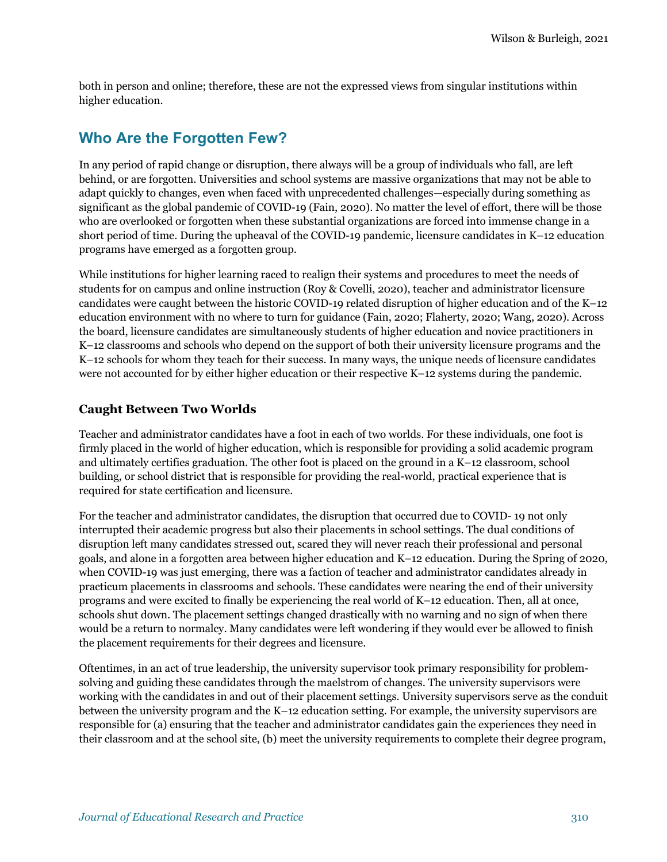both in person and online; therefore, these are not the expressed views from singular institutions within higher education.

### **Who Are the Forgotten Few?**

In any period of rapid change or disruption, there always will be a group of individuals who fall, are left behind, or are forgotten. Universities and school systems are massive organizations that may not be able to adapt quickly to changes, even when faced with unprecedented challenges—especially during something as significant as the global pandemic of COVID-19 (Fain, 2020). No matter the level of effort, there will be those who are overlooked or forgotten when these substantial organizations are forced into immense change in a short period of time. During the upheaval of the COVID-19 pandemic, licensure candidates in K–12 education programs have emerged as a forgotten group.

While institutions for higher learning raced to realign their systems and procedures to meet the needs of students for on campus and online instruction (Roy & Covelli, 2020), teacher and administrator licensure candidates were caught between the historic COVID-19 related disruption of higher education and of the K–12 education environment with no where to turn for guidance (Fain, 2020; Flaherty, 2020; Wang, 2020). Across the board, licensure candidates are simultaneously students of higher education and novice practitioners in K–12 classrooms and schools who depend on the support of both their university licensure programs and the K–12 schools for whom they teach for their success. In many ways, the unique needs of licensure candidates were not accounted for by either higher education or their respective K–12 systems during the pandemic.

#### **Caught Between Two Worlds**

Teacher and administrator candidates have a foot in each of two worlds. For these individuals, one foot is firmly placed in the world of higher education, which is responsible for providing a solid academic program and ultimately certifies graduation. The other foot is placed on the ground in a K–12 classroom, school building, or school district that is responsible for providing the real-world, practical experience that is required for state certification and licensure.

For the teacher and administrator candidates, the disruption that occurred due to COVID- 19 not only interrupted their academic progress but also their placements in school settings. The dual conditions of disruption left many candidates stressed out, scared they will never reach their professional and personal goals, and alone in a forgotten area between higher education and K–12 education. During the Spring of 2020, when COVID-19 was just emerging, there was a faction of teacher and administrator candidates already in practicum placements in classrooms and schools. These candidates were nearing the end of their university programs and were excited to finally be experiencing the real world of K–12 education. Then, all at once, schools shut down. The placement settings changed drastically with no warning and no sign of when there would be a return to normalcy. Many candidates were left wondering if they would ever be allowed to finish the placement requirements for their degrees and licensure.

Oftentimes, in an act of true leadership, the university supervisor took primary responsibility for problemsolving and guiding these candidates through the maelstrom of changes. The university supervisors were working with the candidates in and out of their placement settings. University supervisors serve as the conduit between the university program and the K–12 education setting. For example, the university supervisors are responsible for (a) ensuring that the teacher and administrator candidates gain the experiences they need in their classroom and at the school site, (b) meet the university requirements to complete their degree program,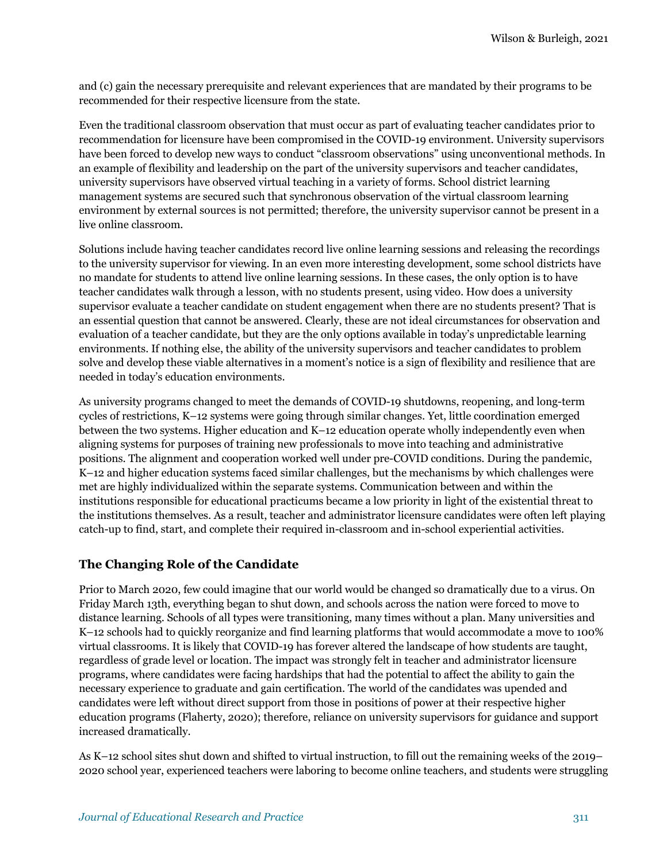and (c) gain the necessary prerequisite and relevant experiences that are mandated by their programs to be recommended for their respective licensure from the state.

Even the traditional classroom observation that must occur as part of evaluating teacher candidates prior to recommendation for licensure have been compromised in the COVID-19 environment. University supervisors have been forced to develop new ways to conduct "classroom observations" using unconventional methods. In an example of flexibility and leadership on the part of the university supervisors and teacher candidates, university supervisors have observed virtual teaching in a variety of forms. School district learning management systems are secured such that synchronous observation of the virtual classroom learning environment by external sources is not permitted; therefore, the university supervisor cannot be present in a live online classroom.

Solutions include having teacher candidates record live online learning sessions and releasing the recordings to the university supervisor for viewing. In an even more interesting development, some school districts have no mandate for students to attend live online learning sessions. In these cases, the only option is to have teacher candidates walk through a lesson, with no students present, using video. How does a university supervisor evaluate a teacher candidate on student engagement when there are no students present? That is an essential question that cannot be answered. Clearly, these are not ideal circumstances for observation and evaluation of a teacher candidate, but they are the only options available in today's unpredictable learning environments. If nothing else, the ability of the university supervisors and teacher candidates to problem solve and develop these viable alternatives in a moment's notice is a sign of flexibility and resilience that are needed in today's education environments.

As university programs changed to meet the demands of COVID-19 shutdowns, reopening, and long-term cycles of restrictions, K–12 systems were going through similar changes. Yet, little coordination emerged between the two systems. Higher education and K–12 education operate wholly independently even when aligning systems for purposes of training new professionals to move into teaching and administrative positions. The alignment and cooperation worked well under pre-COVID conditions. During the pandemic, K–12 and higher education systems faced similar challenges, but the mechanisms by which challenges were met are highly individualized within the separate systems. Communication between and within the institutions responsible for educational practicums became a low priority in light of the existential threat to the institutions themselves. As a result, teacher and administrator licensure candidates were often left playing catch-up to find, start, and complete their required in-classroom and in-school experiential activities.

#### **The Changing Role of the Candidate**

Prior to March 2020, few could imagine that our world would be changed so dramatically due to a virus. On Friday March 13th, everything began to shut down, and schools across the nation were forced to move to distance learning. Schools of all types were transitioning, many times without a plan. Many universities and K–12 schools had to quickly reorganize and find learning platforms that would accommodate a move to 100% virtual classrooms. It is likely that COVID-19 has forever altered the landscape of how students are taught, regardless of grade level or location. The impact was strongly felt in teacher and administrator licensure programs, where candidates were facing hardships that had the potential to affect the ability to gain the necessary experience to graduate and gain certification. The world of the candidates was upended and candidates were left without direct support from those in positions of power at their respective higher education programs (Flaherty, 2020); therefore, reliance on university supervisors for guidance and support increased dramatically.

As K–12 school sites shut down and shifted to virtual instruction, to fill out the remaining weeks of the 2019– 2020 school year, experienced teachers were laboring to become online teachers, and students were struggling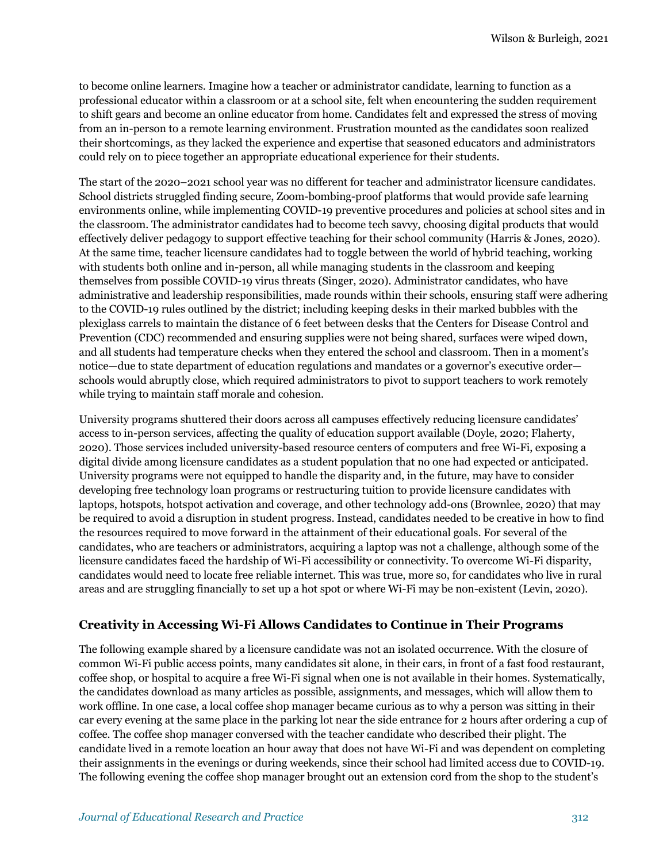to become online learners. Imagine how a teacher or administrator candidate, learning to function as a professional educator within a classroom or at a school site, felt when encountering the sudden requirement to shift gears and become an online educator from home. Candidates felt and expressed the stress of moving from an in-person to a remote learning environment. Frustration mounted as the candidates soon realized their shortcomings, as they lacked the experience and expertise that seasoned educators and administrators could rely on to piece together an appropriate educational experience for their students.

The start of the 2020–2021 school year was no different for teacher and administrator licensure candidates. School districts struggled finding secure, Zoom-bombing-proof platforms that would provide safe learning environments online, while implementing COVID-19 preventive procedures and policies at school sites and in the classroom. The administrator candidates had to become tech savvy, choosing digital products that would effectively deliver pedagogy to support effective teaching for their school community (Harris & Jones, 2020). At the same time, teacher licensure candidates had to toggle between the world of hybrid teaching, working with students both online and in-person, all while managing students in the classroom and keeping themselves from possible COVID-19 virus threats (Singer, 2020). Administrator candidates, who have administrative and leadership responsibilities, made rounds within their schools, ensuring staff were adhering to the COVID-19 rules outlined by the district; including keeping desks in their marked bubbles with the plexiglass carrels to maintain the distance of 6 feet between desks that the Centers for Disease Control and Prevention (CDC) recommended and ensuring supplies were not being shared, surfaces were wiped down, and all students had temperature checks when they entered the school and classroom. Then in a moment's notice—due to state department of education regulations and mandates or a governor's executive order schools would abruptly close, which required administrators to pivot to support teachers to work remotely while trying to maintain staff morale and cohesion.

University programs shuttered their doors across all campuses effectively reducing licensure candidates' access to in-person services, affecting the quality of education support available (Doyle, 2020; Flaherty, 2020). Those services included university-based resource centers of computers and free Wi-Fi, exposing a digital divide among licensure candidates as a student population that no one had expected or anticipated. University programs were not equipped to handle the disparity and, in the future, may have to consider developing free technology loan programs or restructuring tuition to provide licensure candidates with laptops, hotspots, hotspot activation and coverage, and other technology add-ons (Brownlee, 2020) that may be required to avoid a disruption in student progress. Instead, candidates needed to be creative in how to find the resources required to move forward in the attainment of their educational goals. For several of the candidates, who are teachers or administrators, acquiring a laptop was not a challenge, although some of the licensure candidates faced the hardship of Wi-Fi accessibility or connectivity. To overcome Wi-Fi disparity, candidates would need to locate free reliable internet. This was true, more so, for candidates who live in rural areas and are struggling financially to set up a hot spot or where Wi-Fi may be non-existent (Levin, 2020).

#### **Creativity in Accessing Wi-Fi Allows Candidates to Continue in Their Programs**

The following example shared by a licensure candidate was not an isolated occurrence. With the closure of common Wi-Fi public access points, many candidates sit alone, in their cars, in front of a fast food restaurant, coffee shop, or hospital to acquire a free Wi-Fi signal when one is not available in their homes. Systematically, the candidates download as many articles as possible, assignments, and messages, which will allow them to work offline. In one case, a local coffee shop manager became curious as to why a person was sitting in their car every evening at the same place in the parking lot near the side entrance for 2 hours after ordering a cup of coffee. The coffee shop manager conversed with the teacher candidate who described their plight. The candidate lived in a remote location an hour away that does not have Wi-Fi and was dependent on completing their assignments in the evenings or during weekends, since their school had limited access due to COVID-19. The following evening the coffee shop manager brought out an extension cord from the shop to the student's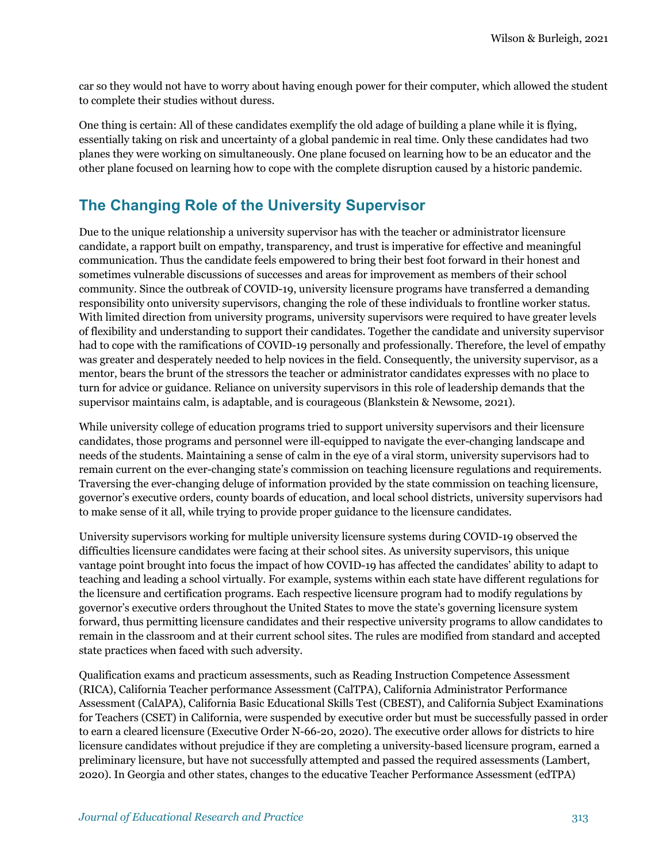car so they would not have to worry about having enough power for their computer, which allowed the student to complete their studies without duress.

One thing is certain: All of these candidates exemplify the old adage of building a plane while it is flying, essentially taking on risk and uncertainty of a global pandemic in real time. Only these candidates had two planes they were working on simultaneously. One plane focused on learning how to be an educator and the other plane focused on learning how to cope with the complete disruption caused by a historic pandemic.

### **The Changing Role of the University Supervisor**

Due to the unique relationship a university supervisor has with the teacher or administrator licensure candidate, a rapport built on empathy, transparency, and trust is imperative for effective and meaningful communication. Thus the candidate feels empowered to bring their best foot forward in their honest and sometimes vulnerable discussions of successes and areas for improvement as members of their school community. Since the outbreak of COVID-19, university licensure programs have transferred a demanding responsibility onto university supervisors, changing the role of these individuals to frontline worker status. With limited direction from university programs, university supervisors were required to have greater levels of flexibility and understanding to support their candidates. Together the candidate and university supervisor had to cope with the ramifications of COVID-19 personally and professionally. Therefore, the level of empathy was greater and desperately needed to help novices in the field. Consequently, the university supervisor, as a mentor, bears the brunt of the stressors the teacher or administrator candidates expresses with no place to turn for advice or guidance. Reliance on university supervisors in this role of leadership demands that the supervisor maintains calm, is adaptable, and is courageous (Blankstein & Newsome, 2021).

While university college of education programs tried to support university supervisors and their licensure candidates, those programs and personnel were ill-equipped to navigate the ever-changing landscape and needs of the students. Maintaining a sense of calm in the eye of a viral storm, university supervisors had to remain current on the ever-changing state's commission on teaching licensure regulations and requirements. Traversing the ever-changing deluge of information provided by the state commission on teaching licensure, governor's executive orders, county boards of education, and local school districts, university supervisors had to make sense of it all, while trying to provide proper guidance to the licensure candidates.

University supervisors working for multiple university licensure systems during COVID-19 observed the difficulties licensure candidates were facing at their school sites. As university supervisors, this unique vantage point brought into focus the impact of how COVID-19 has affected the candidates' ability to adapt to teaching and leading a school virtually. For example, systems within each state have different regulations for the licensure and certification programs. Each respective licensure program had to modify regulations by governor's executive orders throughout the United States to move the state's governing licensure system forward, thus permitting licensure candidates and their respective university programs to allow candidates to remain in the classroom and at their current school sites. The rules are modified from standard and accepted state practices when faced with such adversity.

Qualification exams and practicum assessments, such as Reading Instruction Competence Assessment (RICA), California Teacher performance Assessment (CalTPA), California Administrator Performance Assessment (CalAPA), California Basic Educational Skills Test (CBEST), and California Subject Examinations for Teachers (CSET) in California, were suspended by executive order but must be successfully passed in order to earn a cleared licensure (Executive Order N-66-20, 2020). The executive order allows for districts to hire licensure candidates without prejudice if they are completing a university-based licensure program, earned a preliminary licensure, but have not successfully attempted and passed the required assessments (Lambert, 2020). In Georgia and other states, changes to the educative Teacher Performance Assessment (edTPA)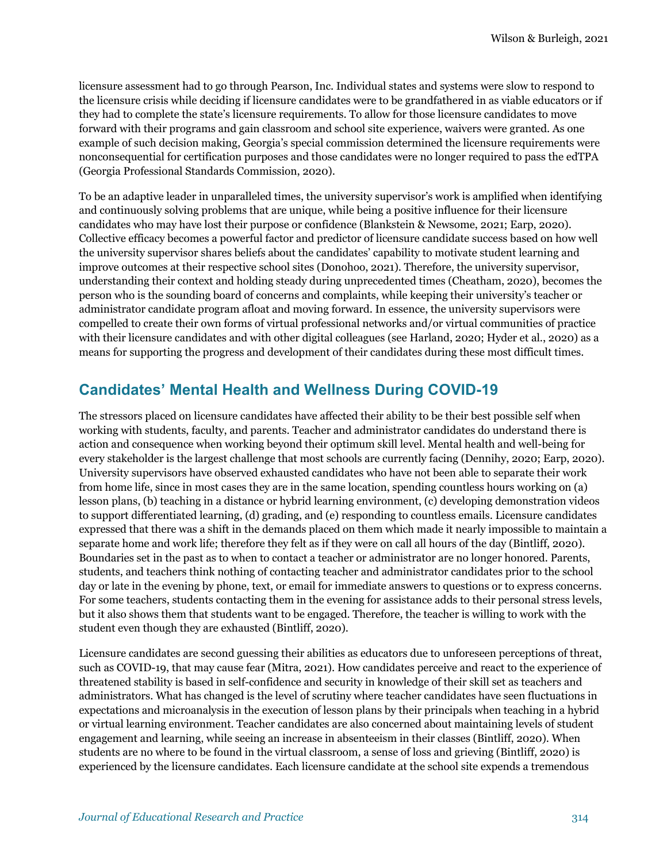licensure assessment had to go through Pearson, Inc. Individual states and systems were slow to respond to the licensure crisis while deciding if licensure candidates were to be grandfathered in as viable educators or if they had to complete the state's licensure requirements. To allow for those licensure candidates to move forward with their programs and gain classroom and school site experience, waivers were granted. As one example of such decision making, Georgia's special commission determined the licensure requirements were nonconsequential for certification purposes and those candidates were no longer required to pass the edTPA (Georgia Professional Standards Commission, 2020).

To be an adaptive leader in unparalleled times, the university supervisor's work is amplified when identifying and continuously solving problems that are unique, while being a positive influence for their licensure candidates who may have lost their purpose or confidence (Blankstein & Newsome, 2021; Earp, 2020). Collective efficacy becomes a powerful factor and predictor of licensure candidate success based on how well the university supervisor shares beliefs about the candidates' capability to motivate student learning and improve outcomes at their respective school sites (Donohoo, 2021). Therefore, the university supervisor, understanding their context and holding steady during unprecedented times (Cheatham, 2020), becomes the person who is the sounding board of concerns and complaints, while keeping their university's teacher or administrator candidate program afloat and moving forward. In essence, the university supervisors were compelled to create their own forms of virtual professional networks and/or virtual communities of practice with their licensure candidates and with other digital colleagues (see Harland, 2020; Hyder et al., 2020) as a means for supporting the progress and development of their candidates during these most difficult times.

# **Candidates' Mental Health and Wellness During COVID-19**

The stressors placed on licensure candidates have affected their ability to be their best possible self when working with students, faculty, and parents. Teacher and administrator candidates do understand there is action and consequence when working beyond their optimum skill level. Mental health and well-being for every stakeholder is the largest challenge that most schools are currently facing (Dennihy, 2020; Earp, 2020). University supervisors have observed exhausted candidates who have not been able to separate their work from home life, since in most cases they are in the same location, spending countless hours working on (a) lesson plans, (b) teaching in a distance or hybrid learning environment, (c) developing demonstration videos to support differentiated learning, (d) grading, and (e) responding to countless emails. Licensure candidates expressed that there was a shift in the demands placed on them which made it nearly impossible to maintain a separate home and work life; therefore they felt as if they were on call all hours of the day (Bintliff, 2020). Boundaries set in the past as to when to contact a teacher or administrator are no longer honored. Parents, students, and teachers think nothing of contacting teacher and administrator candidates prior to the school day or late in the evening by phone, text, or email for immediate answers to questions or to express concerns. For some teachers, students contacting them in the evening for assistance adds to their personal stress levels, but it also shows them that students want to be engaged. Therefore, the teacher is willing to work with the student even though they are exhausted (Bintliff, 2020).

Licensure candidates are second guessing their abilities as educators due to unforeseen perceptions of threat, such as COVID-19, that may cause fear (Mitra, 2021). How candidates perceive and react to the experience of threatened stability is based in self-confidence and security in knowledge of their skill set as teachers and administrators. What has changed is the level of scrutiny where teacher candidates have seen fluctuations in expectations and microanalysis in the execution of lesson plans by their principals when teaching in a hybrid or virtual learning environment. Teacher candidates are also concerned about maintaining levels of student engagement and learning, while seeing an increase in absenteeism in their classes (Bintliff, 2020). When students are no where to be found in the virtual classroom, a sense of loss and grieving (Bintliff, 2020) is experienced by the licensure candidates. Each licensure candidate at the school site expends a tremendous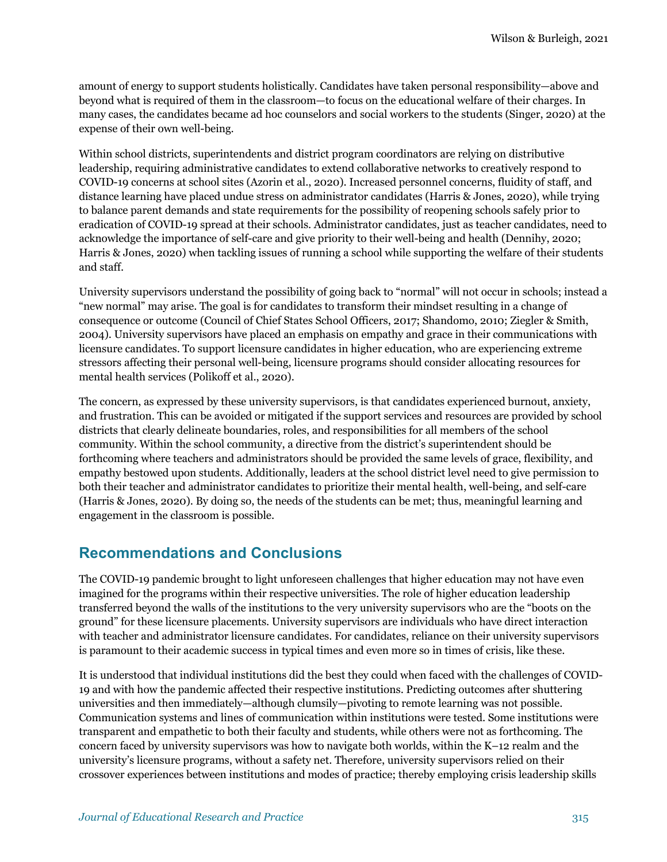amount of energy to support students holistically. Candidates have taken personal responsibility—above and beyond what is required of them in the classroom—to focus on the educational welfare of their charges. In many cases, the candidates became ad hoc counselors and social workers to the students (Singer, 2020) at the expense of their own well-being.

Within school districts, superintendents and district program coordinators are relying on distributive leadership, requiring administrative candidates to extend collaborative networks to creatively respond to COVID-19 concerns at school sites (Azorin et al., 2020). Increased personnel concerns, fluidity of staff, and distance learning have placed undue stress on administrator candidates (Harris & Jones, 2020), while trying to balance parent demands and state requirements for the possibility of reopening schools safely prior to eradication of COVID-19 spread at their schools. Administrator candidates, just as teacher candidates, need to acknowledge the importance of self-care and give priority to their well-being and health (Dennihy, 2020; Harris & Jones, 2020) when tackling issues of running a school while supporting the welfare of their students and staff.

University supervisors understand the possibility of going back to "normal" will not occur in schools; instead a "new normal" may arise. The goal is for candidates to transform their mindset resulting in a change of consequence or outcome (Council of Chief States School Officers, 2017; Shandomo, 2010; Ziegler & Smith, 2004). University supervisors have placed an emphasis on empathy and grace in their communications with licensure candidates. To support licensure candidates in higher education, who are experiencing extreme stressors affecting their personal well-being, licensure programs should consider allocating resources for mental health services (Polikoff et al., 2020).

The concern, as expressed by these university supervisors, is that candidates experienced burnout, anxiety, and frustration. This can be avoided or mitigated if the support services and resources are provided by school districts that clearly delineate boundaries, roles, and responsibilities for all members of the school community. Within the school community, a directive from the district's superintendent should be forthcoming where teachers and administrators should be provided the same levels of grace, flexibility, and empathy bestowed upon students. Additionally, leaders at the school district level need to give permission to both their teacher and administrator candidates to prioritize their mental health, well-being, and self-care (Harris & Jones, 2020). By doing so, the needs of the students can be met; thus, meaningful learning and engagement in the classroom is possible.

### **Recommendations and Conclusions**

The COVID-19 pandemic brought to light unforeseen challenges that higher education may not have even imagined for the programs within their respective universities. The role of higher education leadership transferred beyond the walls of the institutions to the very university supervisors who are the "boots on the ground" for these licensure placements. University supervisors are individuals who have direct interaction with teacher and administrator licensure candidates. For candidates, reliance on their university supervisors is paramount to their academic success in typical times and even more so in times of crisis, like these.

It is understood that individual institutions did the best they could when faced with the challenges of COVID-19 and with how the pandemic affected their respective institutions. Predicting outcomes after shuttering universities and then immediately—although clumsily—pivoting to remote learning was not possible. Communication systems and lines of communication within institutions were tested. Some institutions were transparent and empathetic to both their faculty and students, while others were not as forthcoming. The concern faced by university supervisors was how to navigate both worlds, within the K–12 realm and the university's licensure programs, without a safety net. Therefore, university supervisors relied on their crossover experiences between institutions and modes of practice; thereby employing crisis leadership skills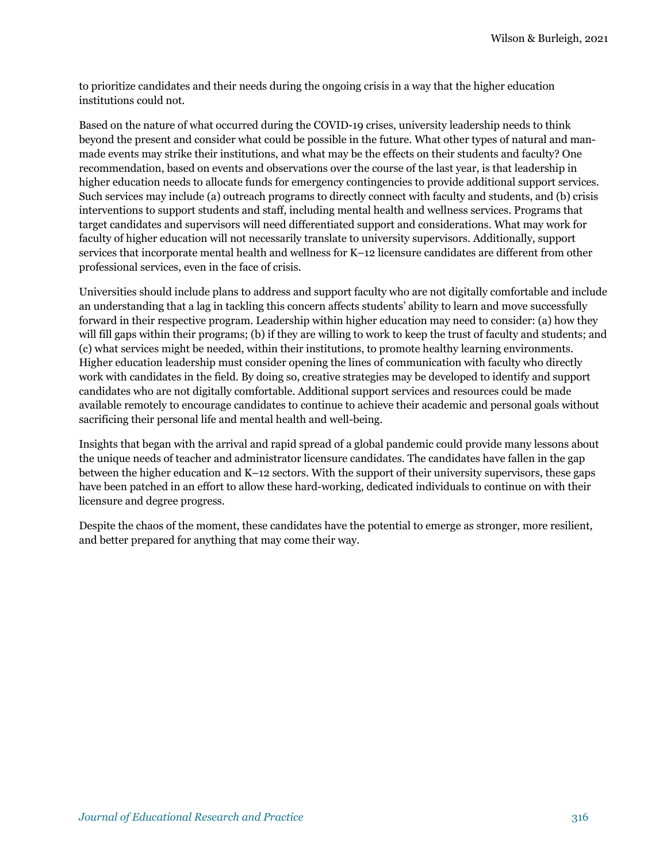to prioritize candidates and their needs during the ongoing crisis in a way that the higher education institutions could not.

Based on the nature of what occurred during the COVID-19 crises, university leadership needs to think beyond the present and consider what could be possible in the future. What other types of natural and manmade events may strike their institutions, and what may be the effects on their students and faculty? One recommendation, based on events and observations over the course of the last year, is that leadership in higher education needs to allocate funds for emergency contingencies to provide additional support services. Such services may include (a) outreach programs to directly connect with faculty and students, and (b) crisis interventions to support students and staff, including mental health and wellness services. Programs that target candidates and supervisors will need differentiated support and considerations. What may work for faculty of higher education will not necessarily translate to university supervisors. Additionally, support services that incorporate mental health and wellness for K–12 licensure candidates are different from other professional services, even in the face of crisis.

Universities should include plans to address and support faculty who are not digitally comfortable and include an understanding that a lag in tackling this concern affects students' ability to learn and move successfully forward in their respective program. Leadership within higher education may need to consider: (a) how they will fill gaps within their programs; (b) if they are willing to work to keep the trust of faculty and students; and (c) what services might be needed, within their institutions, to promote healthy learning environments. Higher education leadership must consider opening the lines of communication with faculty who directly work with candidates in the field. By doing so, creative strategies may be developed to identify and support candidates who are not digitally comfortable. Additional support services and resources could be made available remotely to encourage candidates to continue to achieve their academic and personal goals without sacrificing their personal life and mental health and well-being.

Insights that began with the arrival and rapid spread of a global pandemic could provide many lessons about the unique needs of teacher and administrator licensure candidates. The candidates have fallen in the gap between the higher education and K–12 sectors. With the support of their university supervisors, these gaps have been patched in an effort to allow these hard-working, dedicated individuals to continue on with their licensure and degree progress.

Despite the chaos of the moment, these candidates have the potential to emerge as stronger, more resilient, and better prepared for anything that may come their way.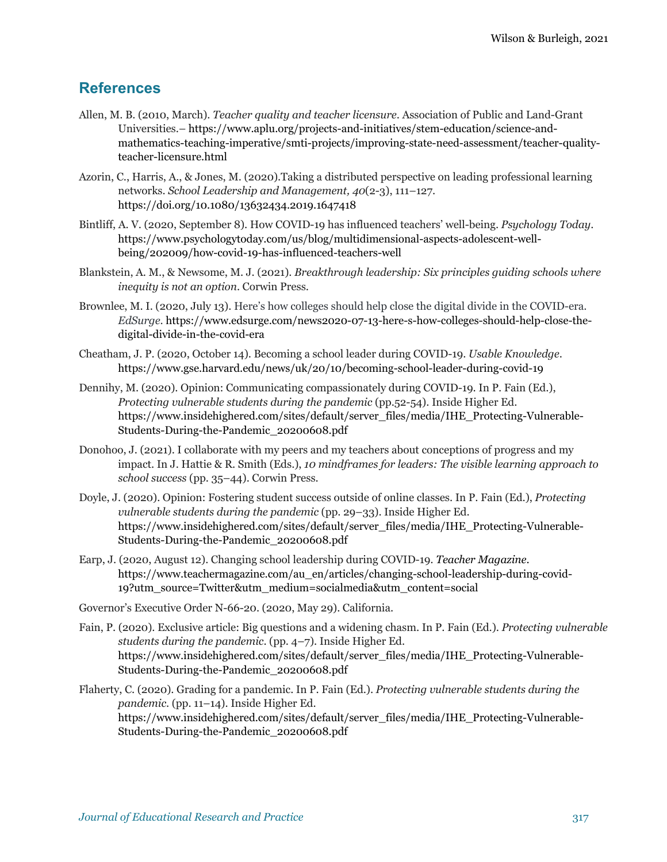### **References**

- Allen, M. B. (2010, March). *Teacher quality and teacher licensure*. Association of Public and Land-Grant Universities.– https://www.aplu.org/projects-and-initiatives/stem-education/science-andmathematics-teaching-imperative/smti-projects/improving-state-need-assessment/teacher-qualityteacher-licensure.html
- Azorin, C., Harris, A., & Jones, M. (2020).Taking a distributed perspective on leading professional learning networks. *School Leadership and Management, 40*(2-3), 111–127. https://doi.org/10.1080/13632434.2019.1647418
- Bintliff, A. V. (2020, September 8). How COVID-19 has influenced teachers' well-being. *Psychology Today*. https://www.psychologytoday.com/us/blog/multidimensional-aspects-adolescent-wellbeing/202009/how-covid-19-has-influenced-teachers-well
- Blankstein, A. M., & Newsome, M. J. (2021). *Breakthrough leadership: Six principles guiding schools where inequity is not an option*. Corwin Press.
- Brownlee, M. I. (2020, July 13). Here's how colleges should help close the digital divide in the COVID-era. *EdSurge*. https://www.edsurge.com/news2020-07-13-here-s-how-colleges-should-help-close-thedigital-divide-in-the-covid-era
- Cheatham, J. P. (2020, October 14). Becoming a school leader during COVID-19. *Usable Knowledge*. https://www.gse.harvard.edu/news/uk/20/10/becoming-school-leader-during-covid-19
- Dennihy, M. (2020). Opinion: Communicating compassionately during COVID-19. In P. Fain (Ed.), *Protecting vulnerable students during the pandemic* (pp.52-54). Inside Higher Ed. https://www.insidehighered.com/sites/default/server\_files/media/IHE\_Protecting-Vulnerable-Students-During-the-Pandemic\_20200608.pdf
- Donohoo, J. (2021). I collaborate with my peers and my teachers about conceptions of progress and my impact. In J. Hattie & R. Smith (Eds.), *10 mindframes for leaders: The visible learning approach to school success* (pp. 35–44). Corwin Press.
- Doyle, J. (2020). Opinion: Fostering student success outside of online classes. In P. Fain (Ed.), *Protecting vulnerable students during the pandemic* (pp. 29–33). Inside Higher Ed. https://www.insidehighered.com/sites/default/server\_files/media/IHE\_Protecting-Vulnerable-Students-During-the-Pandemic\_20200608.pdf
- Earp, J. (2020, August 12). Changing school leadership during COVID-19*. Teacher Magazine*. https://www.teachermagazine.com/au\_en/articles/changing-school-leadership-during-covid-19?utm\_source=Twitter&utm\_medium=socialmedia&utm\_content=social
- Governor's Executive Order N-66-20. (2020, May 29). California.
- Fain, P. (2020). Exclusive article: Big questions and a widening chasm. In P. Fain (Ed.). *Protecting vulnerable students during the pandemic*. (pp. 4–7). Inside Higher Ed. https://www.insidehighered.com/sites/default/server\_files/media/IHE\_Protecting-Vulnerable-Students-During-the-Pandemic\_20200608.pdf
- Flaherty, C. (2020). Grading for a pandemic. In P. Fain (Ed.). *Protecting vulnerable students during the pandemic*. (pp. 11–14). Inside Higher Ed. https://www.insidehighered.com/sites/default/server\_files/media/IHE\_Protecting-Vulnerable-Students-During-the-Pandemic\_20200608.pdf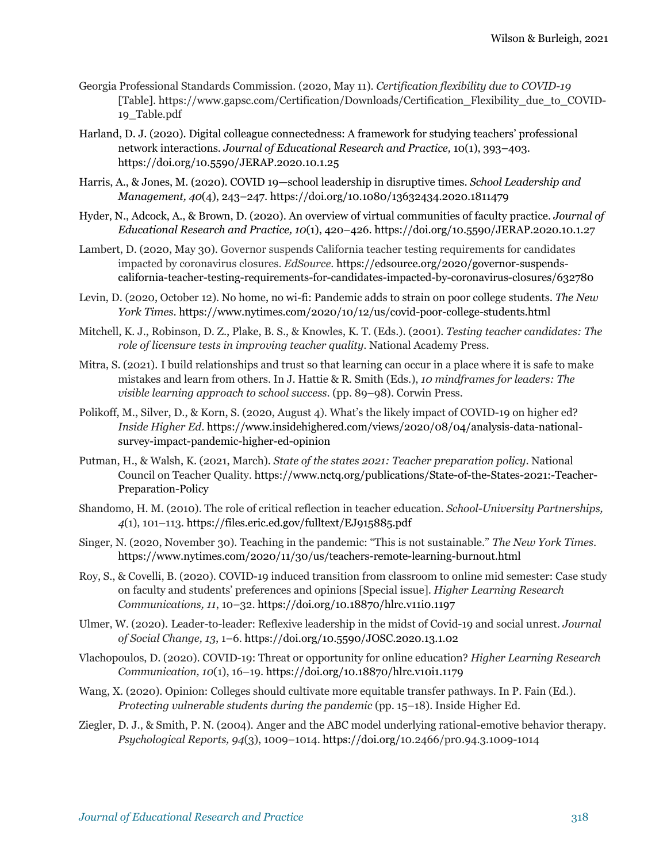- Georgia Professional Standards Commission. (2020, May 11). *Certification flexibility due to COVID-19* [Table]. https://www.gapsc.com/Certification/Downloads/Certification\_Flexibility\_due\_to\_COVID-19\_Table.pdf
- Harland, D. J. (2020). Digital colleague connectedness: A framework for studying teachers' professional network interactions. *Journal of Educational Research and Practice,* 10(1), 393–403. https://doi.org/10.5590/JERAP.2020.10.1.25
- Harris, A., & Jones, M. (2020). COVID 19—school leadership in disruptive times. *School Leadership and Management, 40*(4), 243–247. https://doi.org/10.1080/13632434.2020.1811479
- Hyder, N., Adcock, A., & Brown, D. (2020). An overview of virtual communities of faculty practice. *Journal of Educational Research and Practice, 10*(1), 420–426. https://doi.org/10.5590/JERAP.2020.10.1.27
- Lambert, D. (2020, May 30). Governor suspends California teacher testing requirements for candidates impacted by coronavirus closures. *EdSource*. https://edsource.org/2020/governor-suspendscalifornia-teacher-testing-requirements-for-candidates-impacted-by-coronavirus-closures/632780
- Levin, D. (2020, October 12). No home, no wi-fi: Pandemic adds to strain on poor college students*. The New York Times*. https://www.nytimes.com/2020/10/12/us/covid-poor-college-students.html
- Mitchell, K. J., Robinson, D. Z., Plake, B. S., & Knowles, K. T. (Eds.). (2001). *Testing teacher candidates: The role of licensure tests in improving teacher quality*. National Academy Press.
- Mitra, S. (2021). I build relationships and trust so that learning can occur in a place where it is safe to make mistakes and learn from others. In J. Hattie & R. Smith (Eds.), *10 mindframes for leaders: The visible learning approach to school success*. (pp. 89–98). Corwin Press.
- Polikoff, M., Silver, D., & Korn, S. (2020, August 4). What's the likely impact of COVID-19 on higher ed? *Inside Higher Ed*. https://www.insidehighered.com/views/2020/08/04/analysis-data-nationalsurvey-impact-pandemic-higher-ed-opinion
- Putman, H., & Walsh, K. (2021, March). *State of the states 2021: Teacher preparation policy*. National Council on Teacher Quality. https://www.nctq.org/publications/State-of-the-States-2021:-Teacher-Preparation-Policy
- Shandomo, H. M. (2010). The role of critical reflection in teacher education. *School-University Partnerships, 4*(1), 101–113. https://files.eric.ed.gov/fulltext/EJ915885.pdf
- Singer, N. (2020, November 30). Teaching in the pandemic: "This is not sustainable." *The New York Times*. https://www.nytimes.com/2020/11/30/us/teachers-remote-learning-burnout.html
- Roy, S., & Covelli, B. (2020). COVID-19 induced transition from classroom to online mid semester: Case study on faculty and students' preferences and opinions [Special issue]. *Higher Learning Research Communications, 11*, 10–32. https://doi.org/10.18870/hlrc.v11i0.1197
- Ulmer, W. (2020). Leader-to-leader: Reflexive leadership in the midst of Covid-19 and social unrest. *Journal of Social Change, 13*, 1–6. https://doi.org/10.5590/JOSC.2020.13.1.02
- Vlachopoulos, D. (2020). COVID-19: Threat or opportunity for online education? *Higher Learning Research Communication, 10*(1), 16–19. https://doi.org/10.18870/hlrc.v10i1.1179
- Wang, X. (2020). Opinion: Colleges should cultivate more equitable transfer pathways. In P. Fain (Ed.). *Protecting vulnerable students during the pandemic* (pp. 15–18). Inside Higher Ed.
- Ziegler, D. J., & Smith, P. N. (2004). Anger and the ABC model underlying rational-emotive behavior therapy. *Psychological Reports, 94*(3), 1009–1014. https://doi.org/10.2466/pr0.94.3.1009-1014